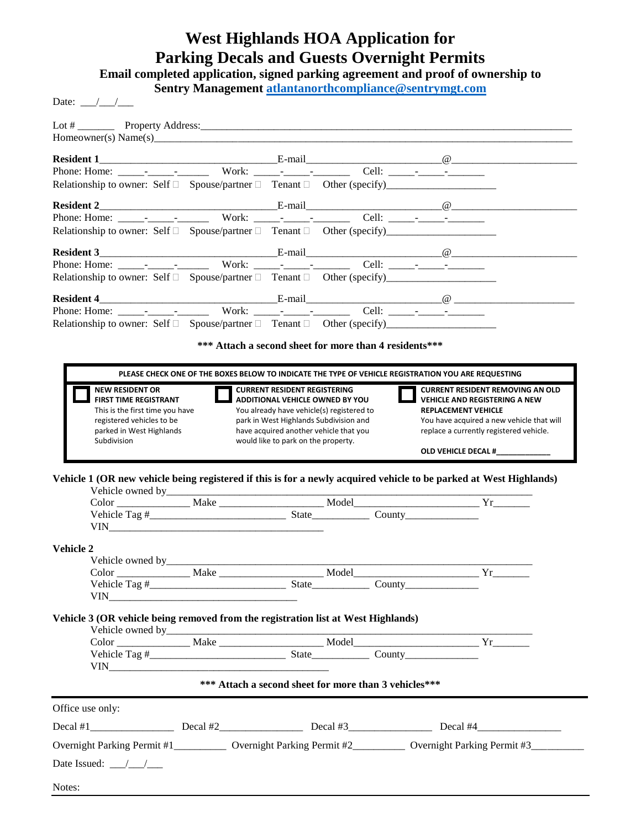## **West Highlands HOA Application for Parking Decals and Guests Overnight Permits**

**Email completed application, signed parking agreement and proof of ownership to** 

**Sentry Management [atlantanorthcompliance@sentrymgt.com](mailto:atlantanorthcompliance@sentrymgt.com)**

Date:  $\frac{\sqrt{2}}{2}$ 

| Relationship to owner: Self □ Spouse/partner □ Tenant □ Other (specify)____________________________                                                                                                                                   |                                                                                                     |                                                                                                                                                                                                                |        |  |                                                                                                                                                                                                       |  |
|---------------------------------------------------------------------------------------------------------------------------------------------------------------------------------------------------------------------------------------|-----------------------------------------------------------------------------------------------------|----------------------------------------------------------------------------------------------------------------------------------------------------------------------------------------------------------------|--------|--|-------------------------------------------------------------------------------------------------------------------------------------------------------------------------------------------------------|--|
|                                                                                                                                                                                                                                       |                                                                                                     |                                                                                                                                                                                                                |        |  |                                                                                                                                                                                                       |  |
| Resident 2 <u>E-mail</u><br>E-mail E-mail E-mail E-mail E-mail E-mail E-mail E-mail E-mail E-mail E-mail E-mail E-mail E-mail E-mail E-mail E-mail E-mail E-mail E-mail E-mail E-mail E-mail E-mail E-mail E-mail E-mail E-mail E-mai |                                                                                                     |                                                                                                                                                                                                                |        |  |                                                                                                                                                                                                       |  |
| Relationship to owner: Self $\Box$ Spouse/partner $\Box$ Tenant $\Box$ Other (specify)                                                                                                                                                |                                                                                                     |                                                                                                                                                                                                                |        |  |                                                                                                                                                                                                       |  |
|                                                                                                                                                                                                                                       |                                                                                                     |                                                                                                                                                                                                                |        |  |                                                                                                                                                                                                       |  |
|                                                                                                                                                                                                                                       |                                                                                                     |                                                                                                                                                                                                                |        |  |                                                                                                                                                                                                       |  |
|                                                                                                                                                                                                                                       |                                                                                                     |                                                                                                                                                                                                                |        |  |                                                                                                                                                                                                       |  |
|                                                                                                                                                                                                                                       |                                                                                                     |                                                                                                                                                                                                                |        |  |                                                                                                                                                                                                       |  |
|                                                                                                                                                                                                                                       |                                                                                                     |                                                                                                                                                                                                                |        |  |                                                                                                                                                                                                       |  |
|                                                                                                                                                                                                                                       |                                                                                                     |                                                                                                                                                                                                                |        |  |                                                                                                                                                                                                       |  |
|                                                                                                                                                                                                                                       |                                                                                                     |                                                                                                                                                                                                                |        |  |                                                                                                                                                                                                       |  |
|                                                                                                                                                                                                                                       |                                                                                                     | *** Attach a second sheet for more than 4 residents***                                                                                                                                                         |        |  |                                                                                                                                                                                                       |  |
|                                                                                                                                                                                                                                       | PLEASE CHECK ONE OF THE BOXES BELOW TO INDICATE THE TYPE OF VEHICLE REGISTRATION YOU ARE REQUESTING |                                                                                                                                                                                                                |        |  |                                                                                                                                                                                                       |  |
| <b>NEW RESIDENT OR</b><br><b>FIRST TIME REGISTRANT</b><br>This is the first time you have<br>registered vehicles to be<br>parked in West Highlands                                                                                    |                                                                                                     | <b>CURRENT RESIDENT REGISTERING</b><br><b>ADDITIONAL VEHICLE OWNED BY YOU</b><br>You already have vehicle(s) registered to<br>park in West Highlands Subdivision and<br>have acquired another vehicle that you |        |  | <b>CURRENT RESIDENT REMOVING AN OLD</b><br><b>VEHICLE AND REGISTERING A NEW</b><br><b>REPLACEMENT VEHICLE</b><br>You have acquired a new vehicle that will<br>replace a currently registered vehicle. |  |
| Subdivision                                                                                                                                                                                                                           |                                                                                                     | would like to park on the property.                                                                                                                                                                            |        |  |                                                                                                                                                                                                       |  |
| Vehicle 1 (OR new vehicle being registered if this is for a newly acquired vehicle to be parked at West Highlands)<br>Color Make Model Model Vr                                                                                       |                                                                                                     |                                                                                                                                                                                                                |        |  |                                                                                                                                                                                                       |  |
|                                                                                                                                                                                                                                       |                                                                                                     |                                                                                                                                                                                                                |        |  |                                                                                                                                                                                                       |  |
|                                                                                                                                                                                                                                       |                                                                                                     |                                                                                                                                                                                                                |        |  |                                                                                                                                                                                                       |  |
| <b>Vehicle 2</b>                                                                                                                                                                                                                      |                                                                                                     |                                                                                                                                                                                                                |        |  |                                                                                                                                                                                                       |  |
|                                                                                                                                                                                                                                       |                                                                                                     |                                                                                                                                                                                                                |        |  |                                                                                                                                                                                                       |  |
| Vehicle Tag #                                                                                                                                                                                                                         |                                                                                                     | <b>State</b>                                                                                                                                                                                                   | County |  |                                                                                                                                                                                                       |  |
|                                                                                                                                                                                                                                       |                                                                                                     |                                                                                                                                                                                                                |        |  |                                                                                                                                                                                                       |  |
| Vehicle 3 (OR vehicle being removed from the registration list at West Highlands)                                                                                                                                                     |                                                                                                     |                                                                                                                                                                                                                |        |  |                                                                                                                                                                                                       |  |
|                                                                                                                                                                                                                                       |                                                                                                     |                                                                                                                                                                                                                |        |  |                                                                                                                                                                                                       |  |
|                                                                                                                                                                                                                                       |                                                                                                     |                                                                                                                                                                                                                |        |  |                                                                                                                                                                                                       |  |
|                                                                                                                                                                                                                                       |                                                                                                     |                                                                                                                                                                                                                |        |  |                                                                                                                                                                                                       |  |
|                                                                                                                                                                                                                                       |                                                                                                     | *** Attach a second sheet for more than 3 vehicles***                                                                                                                                                          |        |  |                                                                                                                                                                                                       |  |
| Office use only:                                                                                                                                                                                                                      |                                                                                                     |                                                                                                                                                                                                                |        |  |                                                                                                                                                                                                       |  |
|                                                                                                                                                                                                                                       |                                                                                                     |                                                                                                                                                                                                                |        |  |                                                                                                                                                                                                       |  |
| Overnight Parking Permit #1____________ Overnight Parking Permit #2____________ Overnight Parking Permit #3_______                                                                                                                    |                                                                                                     |                                                                                                                                                                                                                |        |  |                                                                                                                                                                                                       |  |
| Date Issued: $\frac{\sqrt{1-\sqrt{1-\frac{1}{2}}}}{\sqrt{1-\frac{1}{2}}}$                                                                                                                                                             |                                                                                                     |                                                                                                                                                                                                                |        |  |                                                                                                                                                                                                       |  |
| Notes:                                                                                                                                                                                                                                |                                                                                                     |                                                                                                                                                                                                                |        |  |                                                                                                                                                                                                       |  |